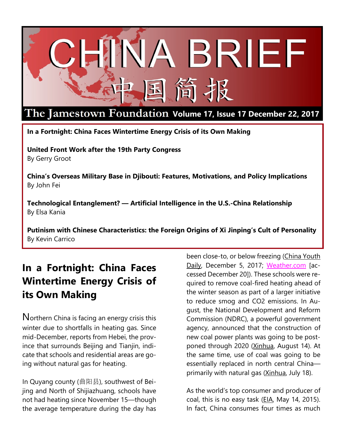

# **Volume 17, Issue 17 December 22, 2017**

**In a Fortnight: China Faces Wintertime Energy Crisis of its Own Making**

**United Front Work after the 19th Party Congress** By Gerry Groot

**China's Overseas Military Base in Djibouti: Features, Motivations, and Policy Implications** By John Fei

**Technological Entanglement? — Artificial Intelligence in the U.S.-China Relationship** By Elsa Kania

**Putinism with Chinese Characteristics: the Foreign Origins of Xi Jinping's Cult of Personality** By Kevin Carrico

# **In a Fortnight: China Faces Wintertime Energy Crisis of its Own Making**

Northern China is facing an energy crisis this winter due to shortfalls in heating gas. Since mid-December, reports from Hebei, the province that surrounds Beijing and Tianjin, indicate that schools and residential areas are going without natural gas for heating.

In Quyang county (曲阳县), southwest of Beijing and North of Shijiazhuang, schools have not had heating since November 15—though the average temperature during the day has been close-to, or below freezing [\(China](http://society.people.com.cn/n1/2017/1205/c1008-29685574.html) Youth [Daily,](http://society.people.com.cn/n1/2017/1205/c1008-29685574.html) December 5, 2017; [Weather.com](https://weather.com/weather/tenday/l/CHHE0630:1:CH) [accessed December 20]). These schools were required to remove coal-fired heating ahead of the winter season as part of a larger initiative to reduce smog and CO2 emissions. In August, the National Development and Reform Commission (NDRC), a powerful government agency, announced that the construction of new coal power plants was going to be postponed through 2020 [\(Xinhua,](http://news.xinhuanet.com/english/2017-08/14/c_136525357.htm) August 14). At the same time, use of coal was going to be essentially replaced in north central China— primarily with natural gas [\(Xinhua,](http://news.xinhuanet.com/english/2017-07/18/c_136453404.htm) July 18).

As the world's top consumer and producer of coal, this is no easy task [\(EIA,](https://www.eia.gov/beta/international/analysis.cfm?iso=CHN) May 14, 2015). In fact, China consumes four times as much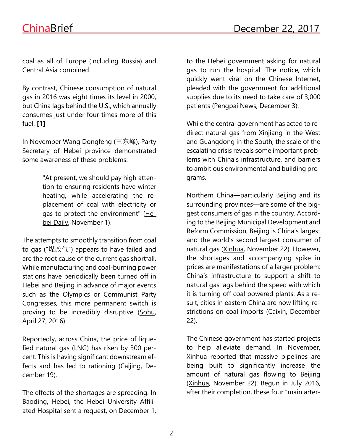coal as all of Europe (including Russia) and Central Asia combined.

By contrast, Chinese consumption of natural gas in 2016 was eight times its level in 2000, but China lags behind the U.S., which annually consumes just under four times more of this fuel. **[1]**

In November Wang Dongfeng (王东峰), Party Secretary of Hebei province demonstrated some awareness of these problems:

> "At present, we should pay high attention to ensuring residents have winter heating, while accelerating the replacement of coal with electricity or gas to protect the environment" [\(He](http://www.he.xinhuanet.com/xinwen/2017-11/01/c_1121887270.htm)bei [Daily,](http://www.he.xinhuanet.com/xinwen/2017-11/01/c_1121887270.htm) November 1).

The attempts to smoothly transition from coal to gas ("煤改气") appears to have failed and are the root cause of the current gas shortfall. While manufacturing and coal-burning power stations have periodically been turned off in Hebei and Beijing in advance of major events such as the Olympics or Communist Party Congresses, this more permanent switch is proving to be incredibly disruptive [\(Sohu,](https://m.sohu.com/n/446398347/) April 27, 2016).

Reportedly, across China, the price of liquefied natural gas (LNG) has risen by 300 percent. This is having significant downstream effects and has led to rationing [\(Caijing,](http://industry.caijing.com.cn/20171219/4380196.shtml) December 19).

The effects of the shortages are spreading. In Baoding, Hebei, the Hebei University Affiliated Hospital sent a request, on December 1, to the Hebei government asking for natural gas to run the hospital. The notice, which quickly went viral on the Chinese Internet, pleaded with the government for additional supplies due to its need to take care of 3,000 patients [\(Pengpai](http://news.sina.com.cn/o/2017-12-03/doc-ifyphtze3893493.shtml) News, December 3).

While the central government has acted to redirect natural gas from Xinjiang in the West and Guangdong in the South, the scale of the escalating crisis reveals some important problems with China's infrastructure, and barriers to ambitious environmental and building programs.

Northern China—particularly Beijing and its surrounding provinces—are some of the biggest consumers of gas in the country. According to the Beijing Municipal Development and Reform Commission, Beijing is China's largest and the world's second largest consumer of natural gas [\(Xinhua,](http://news.xinhuanet.com/fortune/2017-11/22/c_1121996775.htm) November 22). However, the shortages and accompanying spike in prices are manifestations of a larger problem: China's infrastructure to support a shift to natural gas lags behind the speed with which it is turning off coal powered plants. As a result, cities in eastern China are now lifting re-strictions on coal imports [\(Caixin,](http://companies.caixin.com/2017-12-22/101188226.html) December 22).

The Chinese government has started projects to help alleviate demand. In November, Xinhua reported that massive pipelines are being built to significantly increase the amount of natural gas flowing to Beijing [\(Xinhua,](http://news.xinhuanet.com/fortune/2017-11/22/c_1121996775.htm) November 22). Begun in July 2016, after their completion, these four "main arter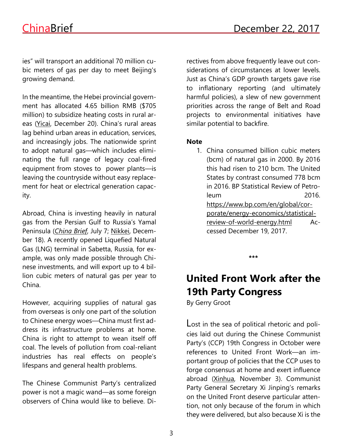ies" will transport an additional 70 million cubic meters of gas per day to meet Beijing's growing demand.

In the meantime, the Hebei provincial government has allocated 4.65 billion RMB (\$705 million) to subsidize heating costs in rural areas [\(Yicai,](https://www.yicaiglobal.com/news/hebei-gives-usd700-million-heating-aid-rural-areas-coal-phase-out) December 20). China's rural areas lag behind urban areas in education, services, and increasingly jobs. The nationwide sprint to adopt natural gas—which includes eliminating the full range of legacy coal-fired equipment from stoves to power plants—is leaving the countryside without easy replacement for heat or electrical generation capacity.

Abroad, China is investing heavily in natural gas from the Persian Gulf to Russia's Yamal Peninsula (*[China](https://jamestown.org/program/china-qatar-relations-perspective/) Brief*, July 7; [Nikkei,](https://asia.nikkei.com/Markets/Commodities/China-thinks-big-in-backing-Russian-Arctic-LNG-project) December 18). A recently opened Liquefied Natural Gas (LNG) terminal in Sabetta, Russia, for example, was only made possible through Chinese investments, and will export up to 4 billion cubic meters of natural gas per year to China.

However, acquiring supplies of natural gas from overseas is only one part of the solution to Chinese energy woes—China must first address its infrastructure problems at home. China is right to attempt to wean itself off coal. The levels of pollution from coal-reliant industries has real effects on people's lifespans and general health problems.

The Chinese Communist Party's centralized power is not a magic wand—as some foreign observers of China would like to believe. Directives from above frequently leave out considerations of circumstances at lower levels. Just as China's GDP growth targets gave rise to inflationary reporting (and ultimately harmful policies), a slew of new government priorities across the range of Belt and Road projects to environmental initiatives have similar potential to backfire.

### **Note**

1. China consumed billion cubic meters (bcm) of natural gas in 2000. By 2016 this had risen to 210 bcm. The United States by contrast consumed 778 bcm in 2016. BP Statistical Review of Petroleum 2016. [https://www.bp.com/en/global/cor](https://www.bp.com/en/global/corporate/energy-economics/statistical-review-of-world-energy.html)[porate/energy-economics/statistical](https://www.bp.com/en/global/corporate/energy-economics/statistical-review-of-world-energy.html)[review-of-world-energy.html](https://www.bp.com/en/global/corporate/energy-economics/statistical-review-of-world-energy.html) Accessed December 19, 2017.

**\*\*\***

# **United Front Work after the 19th Party Congress**

By Gerry Groot

Lost in the sea of political rhetoric and policies laid out during the Chinese Communist Party's (CCP) 19th Congress in October were references to United Front Work—an important group of policies that the CCP uses to forge consensus at home and exert influence abroad [\(Xinhua,](http://www.xinhuanet.com/english/download/Xi_Jinping) November 3). Communist Party General Secretary Xi Jinping's remarks on the United Front deserve particular attention, not only because of the forum in which they were delivered, but also because Xi is the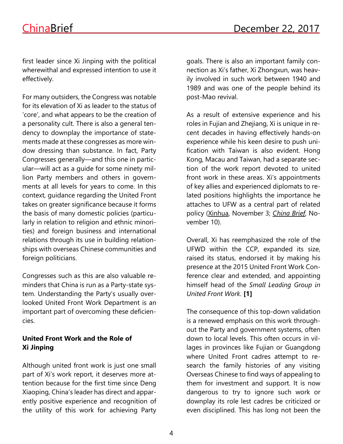first leader since Xi Jinping with the political wherewithal and expressed intention to use it effectively.

For many outsiders, the Congress was notable for its elevation of Xi as leader to the status of 'core', and what appears to be the creation of a personality cult. There is also a general tendency to downplay the importance of statements made at these congresses as more window dressing than substance. In fact, Party Congresses generally—and this one in particular—will act as a guide for some ninety million Party members and others in governments at all levels for years to come. In this context, guidance regarding the United Front takes on greater significance because it forms the basis of many domestic policies (particularly in relation to religion and ethnic minorities) and foreign business and international relations through its use in building relationships with overseas Chinese communities and foreign politicians.

Congresses such as this are also valuable reminders that China is run as a Party-state system. Understanding the Party's usually overlooked United Front Work Department is an important part of overcoming these deficiencies.

# **United Front Work and the Role of Xi Jinping**

Although united front work is just one small part of Xi's work report, it deserves more attention because for the first time since Deng Xiaoping, China's leader has direct and apparently positive experience and recognition of the utility of this work for achieving Party

goals. There is also an important family connection as Xi's father, Xi Zhongxun, was heavily involved in such work between 1940 and 1989 and was one of the people behind its post-Mao revival.

As a result of extensive experience and his roles in Fujian and Zhejiang, Xi is unique in recent decades in having effectively hands-on experience while his keen desire to push unification with Taiwan is also evident. Hong Kong, Macau and Taiwan, had a separate section of the work report devoted to united front work in these areas. Xi's appointments of key allies and experienced diplomats to related positions highlights the importance he attaches to UFW as a central part of related policy [\(Xinhua,](http://www.xinhuanet.com/english/download/Xi_Jinping) November 3; *[China](https://jamestown.org/program/taiwan-policymaking-xi-jinpings-new-era/) Brief*, November 10).

Overall, Xi has reemphasized the role of the UFWD within the CCP, expanded its size, raised its status, endorsed it by making his presence at the 2015 United Front Work Conference clear and extended, and appointing himself head of the *Small Leading Group in United Front Work.* **[1]**

The consequence of this top-down validation is a renewed emphasis on this work throughout the Party and government systems, often down to local levels. This often occurs in villages in provinces like Fujian or Guangdong where United Front cadres attempt to research the family histories of any visiting Overseas Chinese to find ways of appealing to them for investment and support. It is now dangerous to try to ignore such work or downplay its role lest cadres be criticized or even disciplined. This has long not been the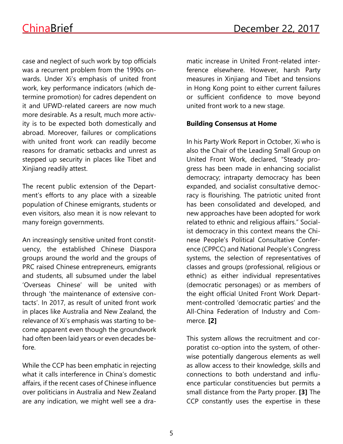case and neglect of such work by top officials was a recurrent problem from the 1990s onwards. Under Xi's emphasis of united front work, key performance indicators (which determine promotion) for cadres dependent on it and UFWD-related careers are now much more desirable. As a result, much more activity is to be expected both domestically and abroad. Moreover, failures or complications with united front work can readily become reasons for dramatic setbacks and unrest as stepped up security in places like Tibet and Xinjiang readily attest.

The recent public extension of the Department's efforts to any place with a sizeable population of Chinese emigrants, students or even visitors, also mean it is now relevant to many foreign governments.

An increasingly sensitive united front constituency, the established Chinese Diaspora groups around the world and the groups of PRC raised Chinese entrepreneurs, emigrants and students, all subsumed under the label 'Overseas Chinese' will be united with through 'the maintenance of extensive contacts'. In 2017, as result of united front work in places like Australia and New Zealand, the relevance of Xi's emphasis was starting to become apparent even though the groundwork had often been laid years or even decades before.

While the CCP has been emphatic in rejecting what it calls interference in China's domestic affairs, if the recent cases of Chinese influence over politicians in Australia and New Zealand are any indication, we might well see a dramatic increase in United Front-related interference elsewhere. However, harsh Party measures in Xinjiang and Tibet and tensions in Hong Kong point to either current failures or sufficient confidence to move beyond united front work to a new stage.

# **Building Consensus at Home**

In his Party Work Report in October, Xi who is also the Chair of the Leading Small Group on United Front Work, declared, "Steady progress has been made in enhancing socialist democracy; intraparty democracy has been expanded, and socialist consultative democracy is flourishing. The patriotic united front has been consolidated and developed, and new approaches have been adopted for work related to ethnic and religious affairs." Socialist democracy in this context means the Chinese People's Political Consultative Conference (CPPCC) and National People's Congress systems, the selection of representatives of classes and groups (professional, religious or ethnic) as either individual representatives (democratic personages) or as members of the eight official United Front Work Department-controlled 'democratic parties' and the All-China Federation of Industry and Commerce. **[2]**

This system allows the recruitment and corporatist co-option into the system, of otherwise potentially dangerous elements as well as allow access to their knowledge, skills and connections to both understand and influence particular constituencies but permits a small distance from the Party proper. **[3]** The CCP constantly uses the expertise in these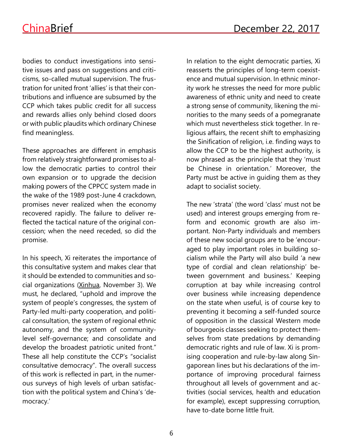bodies to conduct investigations into sensitive issues and pass on suggestions and criticisms, so-called mutual supervision. The frustration for united front 'allies' is that their contributions and influence are subsumed by the CCP which takes public credit for all success and rewards allies only behind closed doors or with public plaudits which ordinary Chinese find meaningless.

These approaches are different in emphasis from relatively straightforward promises to allow the democratic parties to control their own expansion or to upgrade the decision making powers of the CPPCC system made in the wake of the 1989 post-June 4 crackdown, promises never realized when the economy recovered rapidly. The failure to deliver reflected the tactical nature of the original concession; when the need receded, so did the promise.

In his speech, Xi reiterates the importance of this consultative system and makes clear that it should be extended to communities and social organizations [\(Xinhua,](http://www.xinhuanet.com/english/download/Xi_Jinping) November 3). We must, he declared, "uphold and improve the system of people's congresses, the system of Party-led multi-party cooperation, and political consultation, the system of regional ethnic autonomy, and the system of communitylevel self-governance; and consolidate and develop the broadest patriotic united front." These all help constitute the CCP's "socialist consultative democracy". The overall success of this work is reflected in part, in the numerous surveys of high levels of urban satisfaction with the political system and China's 'democracy.'

In relation to the eight democratic parties, Xi reasserts the principles of long-term coexistence and mutual supervision. In ethnic minority work he stresses the need for more public awareness of ethnic unity and need to create a strong sense of community, likening the minorities to the many seeds of a pomegranate which must nevertheless stick together. In religious affairs, the recent shift to emphasizing the Sinification of religion, i.e. finding ways to allow the CCP to be the highest authority, is now phrased as the principle that they 'must be Chinese in orientation.' Moreover, the Party must be active in guiding them as they adapt to socialist society.

The new 'strata' (the word 'class' must not be used) and interest groups emerging from reform and economic growth are also important. Non-Party individuals and members of these new social groups are to be 'encouraged to play important roles in building socialism while the Party will also build 'a new type of cordial and clean relationship' between government and business.' Keeping corruption at bay while increasing control over business while increasing dependence on the state when useful, is of course key to preventing it becoming a self-funded source of opposition in the classical Western mode of bourgeois classes seeking to protect themselves from state predations by demanding democratic rights and rule of law. Xi is promising cooperation and rule-by-law along Singaporean lines but his declarations of the importance of improving procedural fairness throughout all levels of government and activities (social services, health and education for example), except suppressing corruption, have to-date borne little fruit.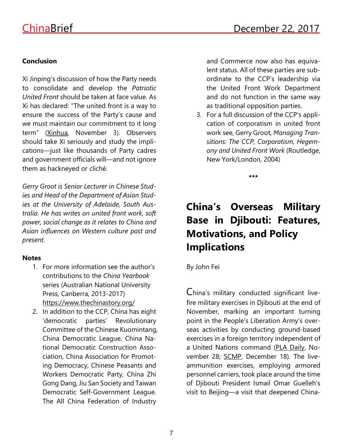# **Conclusion**

Xi Jinping's discussion of how the Party needs to consolidate and develop the *Patriotic United Front* should be taken at face value. As Xi has declared: "The united front is a way to ensure the success of the Party's cause and we must maintain our commitment to it long term" [\(Xinhua,](http://www.xinhuanet.com/english/download/Xi_Jinping) November 3). Observers should take Xi seriously and study the implications—just like thousands of Party cadres and government officials will—and not ignore them as hackneyed or cliché.

*Gerry Groot is Senior Lecturer in Chinese Studies and Head of the Department of Asian Studies at the University of Adelaide, South Australia. He has writes on united front work, soft power, social change as it relates to China and Asian influences on Western culture past and present.*

# **Notes**

- 1. For more information see the author's contributions to the *China Yearbook* series (Australian National University Press, Canberra, 2013-2017) <https://www.thechinastory.org/>
- 2. In addition to the CCP, China has eight 'democratic parties' Revolutionary Committee of the Chinese Kuomintang, China Democratic League, China National Democratic Construction Association, China Association for Promoting Democracy, Chinese Peasants and Workers Democratic Party, China Zhi Gong Dang, Jiu San Society and Taiwan Democratic Self-Government League. The All China Federation of Industry

and Commerce now also has equivalent status. All of these parties are subordinate to the CCP's leadership via the United Front Work Department and do not function in the same way as traditional opposition parties.

3. For a full discussion of the CCP's application of corporatism in united front work see, Gerry Groot, *Managing Transitions: The CCP, Corporatism, Hegemony and United Front Work* (Routledge, New York/London, 2004)

**\*\*\***

# **China's Overseas Military Base in Djibouti: Features, Motivations, and Policy Implications**

By John Fei

China's military conducted significant livefire military exercises in Djibouti at the end of November, marking an important turning point in the People's Liberation Army's overseas activities by conducting ground-based exercises in a foreign territory independent of a United Nations command (PLA [Daily,](http://www.81.cn/jmtt/2017-11/28/content_7845356.htm) November 28; [SCMP,](http://www.scmp.com/news/china/diplomacy-defence/article/2122473/drills-show-chinese-troops-capable-riding-shotgun) December 18). The liveammunition exercises, employing armored personnel carriers, took place around the time of Djibouti President Ismail Omar Guelleh's visit to Beijing—a visit that deepened China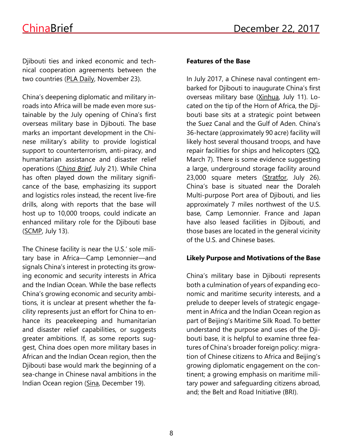Djibouti ties and inked economic and technical cooperation agreements between the two countries (PLA [Daily,](http://www.81.cn/xuexi/2017-11/23/content_7843631.htm) November 23).

China's deepening diplomatic and military inroads into Africa will be made even more sustainable by the July opening of China's first overseas military base in Djibouti. The base marks an important development in the Chinese military's ability to provide logistical support to counterterrorism, anti-piracy, and humanitarian assistance and disaster relief operations (*[China](https://jamestown.org/program/20000-li-over-the-sea-chinas-sends-troops-to-first-permanent-base-in-djibouti/) Brief*, July 21). While China has often played down the military significance of the base, emphasizing its support and logistics roles instead, the recent live-fire drills, along with reports that the base will host up to 10,000 troops, could indicate an enhanced military role for the Djibouti base [\(SCMP,](http://www.scmp.com/news/china/diplomacy-defence/article/2102422/china-sends-troops-military-base-djibouti-widening) July 13).

The Chinese facility is near the U.S.' sole military base in Africa—Camp Lemonnier—and signals China's interest in protecting its growing economic and security interests in Africa and the Indian Ocean. While the base reflects China's growing economic and security ambitions, it is unclear at present whether the facility represents just an effort for China to enhance its peacekeeping and humanitarian and disaster relief capabilities, or suggests greater ambitions. If, as some reports suggest, China does open more military bases in African and the Indian Ocean region, then the Djibouti base would mark the beginning of a sea-change in Chinese naval ambitions in the Indian Ocean region [\(Sina,](http://news.sina.com.cn/o/2017-12-19/doc-ifyptfcn2145261.shtml) December 19).

#### **Features of the Base**

In July 2017, a Chinese naval contingent embarked for Djibouti to inaugurate China's first overseas military base [\(Xinhua,](http://news.xinhuanet.com/politics/2017-07/11/c_1121302146.htm) July 11). Located on the tip of the Horn of Africa, the Djibouti base sits at a strategic point between the Suez Canal and the Gulf of Aden. China's 36-hectare (approximately 90 acre) facility will likely host several thousand troops, and have repair facilities for ships and helicopters  $QQ$ , March 7). There is some evidence suggesting a large, underground storage facility around 23,000 square meters [\(Stratfor,](https://worldview.stratfor.com/article/looking-over-chinas-latest-great-wall) July 26). China's base is situated near the Doraleh Multi-purpose Port area of Djibouti, and lies approximately 7 miles northwest of the U.S. base, Camp Lemonnier. France and Japan have also leased facilities in Djibouti, and those bases are located in the general vicinity of the U.S. and Chinese bases.

#### **Likely Purpose and Motivations of the Base**

China's military base in Djibouti represents both a culmination of years of expanding economic and maritime security interests, and a prelude to deeper levels of strategic engagement in Africa and the Indian Ocean region as part of Beijing's Maritime Silk Road. To better understand the purpose and uses of the Djibouti base, it is helpful to examine three features of China's broader foreign policy: migration of Chinese citizens to Africa and Beijing's growing diplomatic engagement on the continent; a growing emphasis on maritime military power and safeguarding citizens abroad, and; the Belt and Road Initiative (BRI).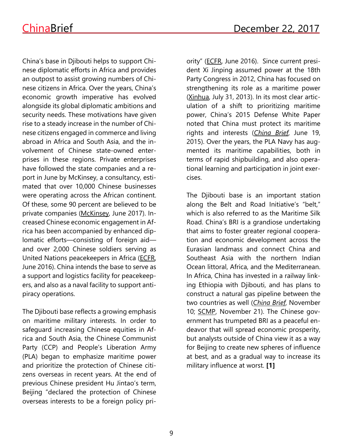China's base in Djibouti helps to support Chinese diplomatic efforts in Africa and provides an outpost to assist growing numbers of Chinese citizens in Africa. Over the years, China's economic growth imperative has evolved alongside its global diplomatic ambitions and security needs. These motivations have given rise to a steady increase in the number of Chinese citizens engaged in commerce and living abroad in Africa and South Asia, and the involvement of Chinese state-owned enterprises in these regions. Private enterprises have followed the state companies and a report in June by McKinsey, a consultancy, estimated that over 10,000 Chinese businesses were operating across the African continent. Of these, some 90 percent are believed to be private companies [\(McKinsey,](https://www.mckinsey.com/Global-Themes/Middle-East-and-Africa/The-closest-look-yet-at-Chinese-economic-engagement-in-Africa) June 2017). Increased Chinese economic engagement in Africa has been accompanied by enhanced diplomatic efforts—consisting of foreign aid and over 2,000 Chinese soldiers serving as United Nations peacekeepers in Africa [\(ECFR,](http://www.ecfr.eu/page/-/Into_Africa_China%E2%80%99s_global_security_shift_PDF_1135.pdf) June 2016). China intends the base to serve as a support and logistics facility for peacekeepers, and also as a naval facility to support antipiracy operations.

The Djibouti base reflects a growing emphasis on maritime military interests. In order to safeguard increasing Chinese equities in Africa and South Asia, the Chinese Communist Party (CCP) and People's Liberation Army (PLA) began to emphasize maritime power and prioritize the protection of Chinese citizens overseas in recent years. At the end of previous Chinese president Hu Jintao's term, Beijing "declared the protection of Chinese overseas interests to be a foreign policy priority" [\(ECFR,](http://www.ecfr.eu/page/-/Into_Africa_China%E2%80%99s_global_security_shift_PDF_1135.pdf) June 2016).Since current president Xi Jinping assumed power at the 18th Party Congress in 2012, China has focused on strengthening its role as a maritime power [\(Xinhua,](http://news.xinhuanet.com/politics/2013-07/31/c_116762285.htm) July 31, 2013). In its most clear articulation of a shift to prioritizing maritime power, China's 2015 Defense White Paper noted that China must protect its maritime rights and interests (*[China](https://jamestown.org/program/the-2015-chinese-defense-white-paper-on-strategy-in-perspective-maritime-missions-require-a-change-in-the-pla-mindset/) Brief*, June 19, 2015). Over the years, the PLA Navy has augmented its maritime capabilities, both in terms of rapid shipbuilding, and also operational learning and participation in joint exercises.

The Djibouti base is an important station along the Belt and Road Initiative's "belt," which is also referred to as the Maritime Silk Road. China's BRI is a grandiose undertaking that aims to foster greater regional cooperation and economic development across the Eurasian landmass and connect China and Southeast Asia with the northern Indian Ocean littoral, Africa, and the Mediterranean. In Africa, China has invested in a railway linking Ethiopia with Djibouti, and has plans to construct a natural gas pipeline between the two countries as well (*[China](https://jamestown.org/program/one-belt-one-road-east-africa-beyond-chinese-influence/) Brief*, November 10; [SCMP,](http://www.scmp.com/news/china/diplomacy-defence/article/2120713/rail-and-airports-its-first-overseas-naval-base-china) November 21). The Chinese government has trumpeted BRI as a peaceful endeavor that will spread economic prosperity, but analysts outside of China view it as a way for Beijing to create new spheres of influence at best, and as a gradual way to increase its military influence at worst. **[1]**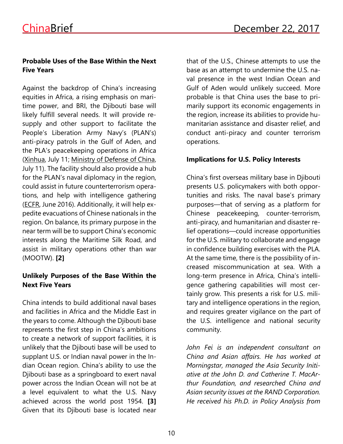# **Probable Uses of the Base Within the Next Five Years**

Against the backdrop of China's increasing equities in Africa, a rising emphasis on maritime power, and BRI, the Djibouti base will likely fulfill several needs. It will provide resupply and other support to facilitate the People's Liberation Army Navy's (PLAN's) anti-piracy patrols in the Gulf of Aden, and the PLA's peacekeeping operations in Africa [\(Xinhua,](http://news.xinhuanet.com/politics/2017-07/11/c_1121302146.htm) July 11; Ministry of [Defense](http://www.mod.gov.cn/shouye/2017-07/11/content_4785240.htm) of China, July 11). The facility should also provide a hub for the PLAN's naval diplomacy in the region, could assist in future counterterrorism operations, and help with intelligence gathering [\(ECFR,](http://www.ecfr.eu/page/-/Into_Africa_China%E2%80%99s_global_security_shift_PDF_1135.pdf) June 2016). Additionally, it will help expedite evacuations of Chinese nationals in the region. On balance, its primary purpose in the near term will be to support China's economic interests along the Maritime Silk Road, and assist in military operations other than war (MOOTW). **[2]**

# **Unlikely Purposes of the Base Within the Next Five Years**

China intends to build additional naval bases and facilities in Africa and the Middle East in the years to come. Although the Djibouti base represents the first step in China's ambitions to create a network of support facilities, it is unlikely that the Djibouti base will be used to supplant U.S. or Indian naval power in the Indian Ocean region. China's ability to use the Djibouti base as a springboard to exert naval power across the Indian Ocean will not be at a level equivalent to what the U.S. Navy achieved across the world post 1954. **[3]** Given that its Djibouti base is located near

that of the U.S., Chinese attempts to use the base as an attempt to undermine the U.S. naval presence in the west Indian Ocean and Gulf of Aden would unlikely succeed. More probable is that China uses the base to primarily support its economic engagements in the region, increase its abilities to provide humanitarian assistance and disaster relief, and conduct anti-piracy and counter terrorism operations.

# **Implications for U.S. Policy Interests**

China's first overseas military base in Djibouti presents U.S. policymakers with both opportunities and risks. The naval base's primary purposes—that of serving as a platform for Chinese peacekeeping, counter-terrorism, anti-piracy, and humanitarian and disaster relief operations—could increase opportunities for the U.S. military to collaborate and engage in confidence building exercises with the PLA. At the same time, there is the possibility of increased miscommunication at sea. With a long-term presence in Africa, China's intelligence gathering capabilities will most certainly grow. This presents a risk for U.S. military and intelligence operations in the region, and requires greater vigilance on the part of the U.S. intelligence and national security community.

*John Fei is an independent consultant on China and Asian affairs. He has worked at Morningstar, managed the Asia Security Initiative at the John D. and Catherine T. MacArthur Foundation, and researched China and Asian security issues at the RAND Corporation. He received his Ph.D. in Policy Analysis from*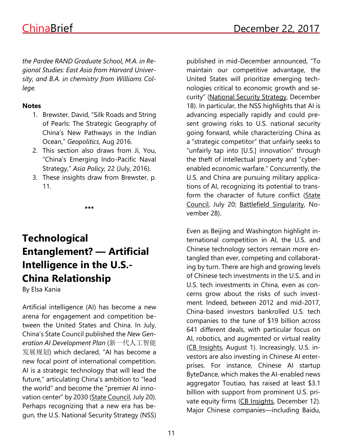*the Pardee RAND Graduate School, M.A. in Regional Studies: East Asia from Harvard University, and B.A. in chemistry from Williams College.*

#### **Notes**

- 1. Brewster, David, "Silk Roads and String of Pearls: The Strategic Geography of China's New Pathways in the Indian Ocean," *Geopolitics,* Aug 2016.
- 2. This section also draws from Ji, You, "China's Emerging Indo-Pacific Naval Strategy," *Asia Policy,* 22 (July, 2016).
- 3. These insights draw from Brewster, p. 11.

**\*\*\***

# **Technological Entanglement? — Artificial Intelligence in the U.S.- China Relationship**

By Elsa Kania

Artificial intelligence (AI) has become a new arena for engagement and competition between the United States and China. In July, China's State Council published the *New Generation AI Development Plan* (新一代人工智能 发展规划) which declared, "AI has become a new focal point of international competition. AI is a strategic technology that will lead the future," articulating China's ambition to "lead the world" and become the "premier AI inno-vation center" by 2030 (State [Council,](http://www.gov.cn/zhengce/content/2017-07/20/content_5211996.htm) July 20). Perhaps recognizing that a new era has begun, the U.S. National Security Strategy (NSS)

published in mid-December announced, "To maintain our competitive advantage, the United States will prioritize emerging technologies critical to economic growth and security" [\(National](https://www.whitehouse.gov/wp-content/uploads/2017/12/NSS-Final-12-18-2017-0905.pdf) Security Strategy, December 18). In particular, the NSS highlights that AI is advancing especially rapidly and could present growing risks to U.S. national security going forward, while characterizing China as a "strategic competitor" that unfairly seeks to "unfairly tap into [U.S.] innovation" through the theft of intellectual property and "cyberenabled economic warfare." Concurrently, the U.S. and China are pursuing military applications of AI, recognizing its potential to transform the character of future conflict [\(State](http://www.gov.cn/zhengce/content/2017-07/20/content_5211996.htm) [Council,](http://www.gov.cn/zhengce/content/2017-07/20/content_5211996.htm) July 20; Battlefield [Singularity,](https://www.cnas.org/publications/reports/battlefield-singularity-artificial-intelligence-military-revolution-and-chinas-future-military-power) November 28).

Even as Beijing and Washington highlight international competition in AI, the U.S. and Chinese technology sectors remain more entangled than ever, competing and collaborating by turn. There are high and growing levels of Chinese tech investments in the U.S. and in U.S. tech investments in China, even as concerns grow about the risks of such investment. Indeed, between 2012 and mid-2017, China-based investors bankrolled U.S. tech companies to the tune of \$19 billion across 641 different deals, with particular focus on AI, robotics, and augmented or virtual reality (CB [Insights,](https://www.cbinsights.com/research/chinese-investment-us-tech-expert-research/) August 1). Increasingly, U.S. investors are also investing in Chinese AI enterprises. For instance, Chinese AI startup ByteDance, which makes the AI-enabled news aggregator Toutiao, has raised at least \$3.1 billion with support from prominent U.S. pri-vate equity firms (CB [Insights,](https://www.cbinsights.com/research/artificial-intelligence-top-startups/) December 12). Major Chinese companies—including Baidu,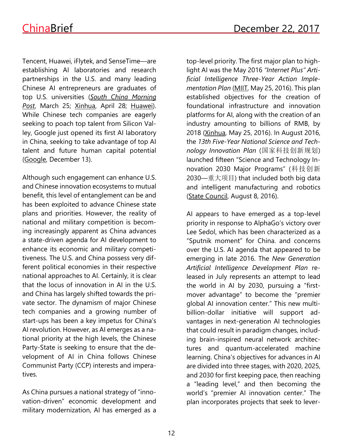Tencent, Huawei, iFlytek, and SenseTime—are establishing AI laboratories and research partnerships in the U.S. and many leading Chinese AI entrepreneurs are graduates of top U.S. universities (*South China [Morning](http://www.scmp.com/tech/china-tech/article/2082069/chinas-baidu-increases-us-presence-new-silicon-valley-office)* [Post](http://www.scmp.com/tech/china-tech/article/2082069/chinas-baidu-increases-us-presence-new-silicon-valley-office), March 25; [Xinhua,](about:blank) April 28; [Huawei\)](http://www.huawei.com/en/news/2016/10/Huawei-UC-Berkeley-Strategic-Partnership-Research-AI). While Chinese tech companies are eagerly seeking to poach top talent from Silicon Valley, Google just opened its first AI laboratory in China, seeking to take advantage of top AI talent and future human capital potential [\(Google,](https://www.blog.google/topics/google-asia/google-ai-china-center/) December 13).

Although such engagement can enhance U.S. and Chinese innovation ecosystems to mutual benefit, this level of entanglement can be and has been exploited to advance Chinese state plans and priorities. However, the reality of national and military competition is becoming increasingly apparent as China advances a state-driven agenda for AI development to enhance its economic and military competitiveness. The U.S. and China possess very different political economies in their respective national approaches to AI. Certainly, it is clear that the locus of innovation in AI in the U.S. and China has largely shifted towards the private sector. The dynamism of major Chinese tech companies and a growing number of start-ups has been a key impetus for China's AI revolution. However, as AI emerges as a national priority at the high levels, the Chinese Party-State is seeking to ensure that the development of AI in China follows Chinese Communist Party (CCP) interests and imperatives.

As China pursues a national strategy of "innovation-driven" economic development and military modernization, AI has emerged as a top-level priority. The first major plan to highlight AI was the May 2016 *"Internet Plus" Artificial Intelligence Three-Year Action Implementation Plan* [\(MIIT,](http://www.miit.gov.cn/n1146290/n1146392/c4808445/content.html) May 25, 2016). This plan established objectives for the creation of foundational infrastructure and innovation platforms for AI, along with the creation of an industry amounting to billions of RMB, by 2018 [\(Xinhua,](http://news.xinhuanet.com/info/2016-05/26/c_135390662.htm) May 25, 2016). In August 2016, the *13th Five-Year National Science and Technology Innovation Plan* (国家科技创新规划) launched fifteen "Science and Technology Innovation 2030 Major Programs" (科技创新 2030—重大项目) that included both big data and intelligent manufacturing and robotics (State [Council,](http://www.gov.cn/zhengce/content/2016-08/08/content_5098072.htm) August 8, 2016).

AI appears to have emerged as a top-level priority in response to AlphaGo's victory over Lee Sedol, which has been characterized as a "Sputnik moment" for China. and concerns over the U.S. AI agenda that appeared to be emerging in late 2016. The *New Generation Artificial Intelligence Development Plan* released in July represents an attempt to lead the world in AI by 2030, pursuing a "firstmover advantage" to become the "premier global AI innovation center." This new multibillion-dollar initiative will support advantages in next-generation AI technologies that could result in paradigm changes, including brain-inspired neural network architectures and quantum-accelerated machine learning. China's objectives for advances in AI are divided into three stages, with 2020, 2025, and 2030 for first keeping pace, then reaching a "leading level," and then becoming the world's "premier AI innovation center." The plan incorporates projects that seek to lever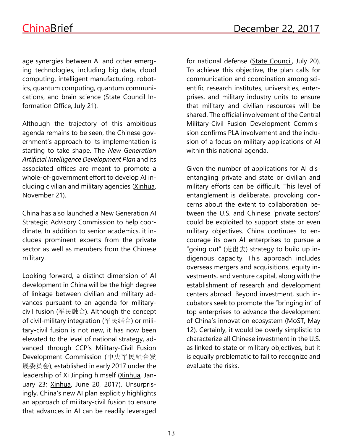age synergies between AI and other emerging technologies, including big data, cloud computing, intelligent manufacturing, robotics, quantum computing, quantum communications, and brain science (State [Council](http://www.scio.gov.cn/32344/32345/35889/36946/zy36950/Document/1559032/1559032.htm) In[formation](http://www.scio.gov.cn/32344/32345/35889/36946/zy36950/Document/1559032/1559032.htm) Office, July 21).

Although the trajectory of this ambitious agenda remains to be seen, the Chinese government's approach to its implementation is starting to take shape. The *New Generation Artificial Intelligence Development Plan* and its associated offices are meant to promote a whole-of-government effort to develop AI including civilian and military agencies [\(Xinhua,](http://www.ia.cas.cn/xwzx/ttxw/201711/t20171121_4896939.html) November 21).

China has also launched a New Generation AI Strategic Advisory Commission to help coordinate. In addition to senior academics, it includes prominent experts from the private sector as well as members from the Chinese military.

Looking forward, a distinct dimension of AI development in China will be the high degree of linkage between civilian and military advances pursuant to an agenda for militarycivil fusion (军民融合). Although the concept of civil-military integration (军民结合) or military-civil fusion is not new, it has now been elevated to the level of national strategy, advanced through CCP's Military-Civil Fusion Development Commission (中央军民融合发 展委员会), established in early 2017 under the leadership of Xi Jinping himself [\(Xinhua,](http://news.xinhuanet.com/finance/2017-01/23/c_129458492.htm) January 23; [Xinhua,](http://news.xinhuanet.com/politics/2017-06/20/c_1121179676.htm) June 20, 2017). Unsurprisingly, China's new AI plan explicitly highlights an approach of military-civil fusion to ensure that advances in AI can be readily leveraged

for national defense (State [Council,](http://www.gov.cn/zhengce/content/2017-07/20/content_5211996.htm) July 20). To achieve this objective, the plan calls for communication and coordination among scientific research institutes, universities, enterprises, and military industry units to ensure that military and civilian resources will be shared. The official involvement of the Central Military-Civil Fusion Development Commission confirms PLA involvement and the inclusion of a focus on military applications of AI within this national agenda.

Given the number of applications for AI disentangling private and state or civilian and military efforts can be difficult. This level of entanglement is deliberate, provoking concerns about the extent to collaboration between the U.S. and Chinese 'private sectors' could be exploited to support state or even military objectives. China continues to encourage its own AI enterprises to pursue a "going out" (走出去) strategy to build up indigenous capacity. This approach includes overseas mergers and acquisitions, equity investments, and venture capital, along with the establishment of research and development centers abroad. Beyond investment, such incubators seek to promote the "bringing in" of top enterprises to advance the development of China's innovation ecosystem [\(MoST,](http://www.stdaily.com/index/h1t1/2017-05/12/content_542913.shtml) May 12). Certainly, it would be overly simplistic to characterize all Chinese investment in the U.S. as linked to state or military objectives, but it is equally problematic to fail to recognize and evaluate the risks.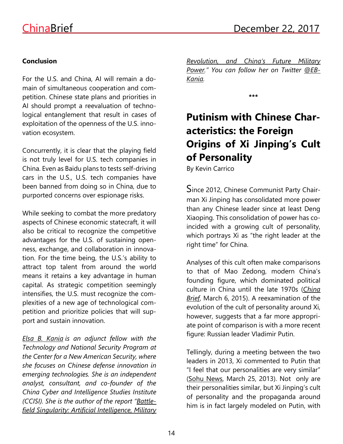# **Conclusion**

For the U.S. and China, AI will remain a domain of simultaneous cooperation and competition. Chinese state plans and priorities in AI should prompt a reevaluation of technological entanglement that result in cases of exploitation of the openness of the U.S. innovation ecosystem.

Concurrently, it is clear that the playing field is not truly level for U.S. tech companies in China. Even as Baidu plans to tests self-driving cars in the U.S., U.S. tech companies have been banned from doing so in China, due to purported concerns over espionage risks.

While seeking to combat the more predatory aspects of Chinese economic statecraft, it will also be critical to recognize the competitive advantages for the U.S. of sustaining openness, exchange, and collaboration in innovation. For the time being, the U.S.'s ability to attract top talent from around the world means it retains a key advantage in human capital. As strategic competition seemingly intensifies, the U.S. must recognize the complexities of a new age of technological competition and prioritize policies that will support and sustain innovation.

*Elsa B. [Kania](http://cnas.org/people/elsa-b-kania) is an adjunct fellow with the Technology and National Security Program at the Center for a New American Security, where she focuses on Chinese defense innovation in emerging technologies. She is an independent analyst, consultant, and co-founder of the China Cyber and Intelligence Studies Institute (CCISI). She is the author of the report "[Battle](https://www.cnas.org/publications/reports/battlefield-singularity-artificial-intelligence-military-revolution-and-chinas-future-military-power)field Singularity: Artificial [Intelligence,](https://www.cnas.org/publications/reports/battlefield-singularity-artificial-intelligence-military-revolution-and-chinas-future-military-power) Military* *[Revolution,](https://www.cnas.org/publications/reports/battlefield-singularity-artificial-intelligence-military-revolution-and-chinas-future-military-power) and China's Future Military [Power](https://www.cnas.org/publications/reports/battlefield-singularity-artificial-intelligence-military-revolution-and-chinas-future-military-power)." You can follow her on Twitter [@EB-](https://twitter.com/EBKania)[Kania.](https://twitter.com/EBKania)*

**\*\*\***

# **Putinism with Chinese Characteristics: the Foreign Origins of Xi Jinping's Cult of Personality**

By Kevin Carrico

Since 2012, Chinese Communist Party Chairman Xi Jinping has consolidated more power than any Chinese leader since at least Deng Xiaoping. This consolidation of power has coincided with a growing cult of personality, which portrays Xi as "the right leader at the right time" for China.

Analyses of this cult often make comparisons to that of Mao Zedong, modern China's founding figure, which dominated political culture in China until the late 1970s (*[China](https://jamestown.org/program/a-modern-cult-of-personality-xi-jinping-aspires-to-be-the-equal-of-mao-and-deng/) [Brief](https://jamestown.org/program/a-modern-cult-of-personality-xi-jinping-aspires-to-be-the-equal-of-mao-and-deng/)*, March 6, 2015). A reexamination of the evolution of the cult of personality around Xi, however, suggests that a far more appropriate point of comparison is with a more recent figure: Russian leader Vladimir Putin.

Tellingly, during a meeting between the two leaders in 2013, Xi commented to Putin that "I feel that our personalities are very similar" (Sohu [News,](http://news.sohu.com/20130325/n370233724.shtml) March 25, 2013). Not only are their personalities similar, but Xi Jinping's cult of personality and the propaganda around him is in fact largely modeled on Putin, with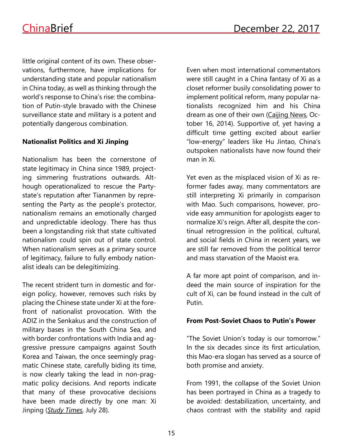little original content of its own. These observations, furthermore, have implications for understanding state and popular nationalism in China today, as well as thinking through the world's response to China's rise: the combination of Putin-style bravado with the Chinese surveillance state and military is a potent and potentially dangerous combination.

# **Nationalist Politics and Xi Jinping**

Nationalism has been the cornerstone of state legitimacy in China since 1989, projecting simmering frustrations outwards. Although operationalized to rescue the Partystate's reputation after Tiananmen by representing the Party as the people's protector, nationalism remains an emotionally charged and unpredictable ideology. There has thus been a longstanding risk that state cultivated nationalism could spin out of state control. When nationalism serves as a primary source of legitimacy, failure to fully embody nationalist ideals can be delegitimizing.

The recent strident turn in domestic and foreign policy, however, removes such risks by placing the Chinese state under Xi at the forefront of nationalist provocation. With the ADIZ in the Senkakus and the construction of military bases in the South China Sea, and with border confrontations with India and aggressive pressure campaigns against South Korea and Taiwan, the once seemingly pragmatic Chinese state, carefully biding its time, is now clearly taking the lead in non-pragmatic policy decisions. And reports indicate that many of these provocative decisions have been made directly by one man: Xi Jinping (*Study [Times](http://cpc.people.com.cn/BIG5/n1/2017/0728/c64094-29433685.html)*, July 28).

Even when most international commentators were still caught in a China fantasy of Xi as a closet reformer busily consolidating power to implement political reform, many popular nationalists recognized him and his China dream as one of their own [\(Caijing](http://politics.caijing.com.cn/20141016/3722979.shtml) News, October 16, 2014). Supportive of, yet having a difficult time getting excited about earlier "low-energy" leaders like Hu Jintao, China's outspoken nationalists have now found their man in Xi.

Yet even as the misplaced vision of Xi as reformer fades away, many commentators are still interpreting Xi primarily in comparison with Mao. Such comparisons, however, provide easy ammunition for apologists eager to normalize Xi's reign. After all, despite the continual retrogression in the political, cultural, and social fields in China in recent years, we are still far removed from the political terror and mass starvation of the Maoist era.

A far more apt point of comparison, and indeed the main source of inspiration for the cult of Xi, can be found instead in the cult of Putin.

# **From Post-Soviet Chaos to Putin's Power**

"The Soviet Union's today is our tomorrow." In the six decades since its first articulation, this Mao-era slogan has served as a source of both promise and anxiety.

From 1991, the collapse of the Soviet Union has been portrayed in China as a tragedy to be avoided: destabilization, uncertainty, and chaos contrast with the stability and rapid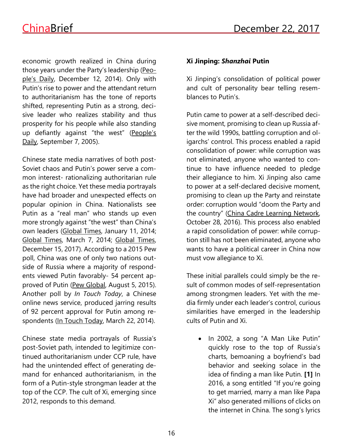economic growth realized in China during those years under the Party's leadership [\(Peo](http://history.people.com.cn/BIG5/n/2014/1212/c372329-26198074.html)ple's [Daily,](http://history.people.com.cn/BIG5/n/2014/1212/c372329-26198074.html) December 12, 2014). Only with Putin's rise to power and the attendant return to authoritarianism has the tone of reports shifted, representing Putin as a strong, decisive leader who realizes stability and thus prosperity for his people while also standing up defiantly against "the west" ([People's](http://www.people.com.cn/GB/paper68/15657/1384965.html) [Daily,](http://www.people.com.cn/GB/paper68/15657/1384965.html) September 7, 2005).

Chinese state media narratives of both post-Soviet chaos and Putin's power serve a common interest- rationalizing authoritarian rule as the right choice. Yet these media portrayals have had broader and unexpected effects on popular opinion in China. Nationalists see Putin as a "real man" who stands up even more strongly against "the west" than China's own leaders [\(Global](http://world.huanqiu.com/people/2014-01/4745831.html) Times, January 11, 2014; [Global](http://opinion.huanqiu.com/editorial/2014-03/4884929.html) Times, March 7, 2014; [Global](http://opinion.huanqiu.com/editorial/2017-12/11450347.html) Times, December 15, 2017). According to a 2015 Pew poll, China was one of only two nations outside of Russia where a majority of respondents viewed Putin favorably- 54 percent approved of Putin (Pew [Global,](http://www.pewglobal.org/2015/08/05/russia-putin-held-in-low-regard-around-the-world/) August 5, 2015). Another poll by *In Touch Today*, a Chinese online news service, produced jarring results of 92 percent approval for Putin among re-spondents (In Touch [Today,](http://view.news.qq.com/original/intouchtoday/n2740.html) March 22, 2014).

Chinese state media portrayals of Russia's post-Soviet path, intended to legitimize continued authoritarianism under CCP rule, have had the unintended effect of generating demand for enhanced authoritarianism, in the form of a Putin-style strongman leader at the top of the CCP. The cult of Xi, emerging since 2012, responds to this demand.

### **Xi Jinping:** *Shanzhai* **Putin**

Xi Jinping's consolidation of political power and cult of personality bear telling resemblances to Putin's.

Putin came to power at a self-described decisive moment, promising to clean up Russia after the wild 1990s, battling corruption and oligarchs' control. This process enabled a rapid consolidation of power: while corruption was not eliminated, anyone who wanted to continue to have influence needed to pledge their allegiance to him. Xi Jinping also came to power at a self-declared decisive moment, promising to clean up the Party and reinstate order: corruption would "doom the Party and the country" (China Cadre Learning [Network,](http://zt.ccln.gov.cn/lzqh/duj/49302-all.shtml) October 28, 2016). This process also enabled a rapid consolidation of power: while corruption still has not been eliminated, anyone who wants to have a political career in China now must vow allegiance to Xi.

These initial parallels could simply be the result of common modes of self-representation among strongmen leaders. Yet with the media firmly under each leader's control, curious similarities have emerged in the leadership cults of Putin and Xi.

• In 2002, a song "A Man Like Putin" quickly rose to the top of Russia's charts, bemoaning a boyfriend's bad behavior and seeking solace in the idea of finding a man like Putin. **[1]** In 2016, a song entitled "If you're going to get married, marry a man like Papa Xi" also generated millions of clicks on the internet in China. The song's lyrics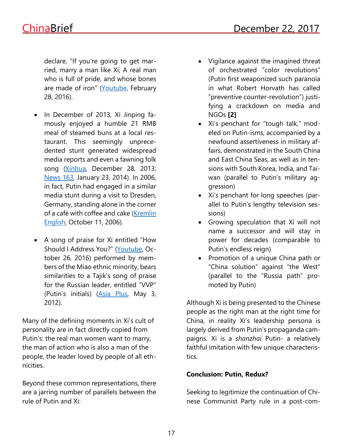declare, "If you're going to get married, marry a man like Xi; A real man who is full of pride, and whose bones are made of iron" [\(Youtube,](https://www.youtube.com/watch?v=wwNPj8u3XHg) February 28, 2016).

- In December of 2013, Xi Jinping famously enjoyed a humble 21 RMB meal of steamed buns at a local restaurant. This seemingly unprecedented stunt generated widespread media reports and even a fawning folk song [\(Xinhua,](http://news.xinhuanet.com/politics/2013-12/28/c_118748144.htm) December 28, 2013; [News](http://news.163.com/14/0123/04/9J8FEFAL00014AED.html) 163, January 23, 2014). In 2006, in fact, Putin had engaged in a similar media stunt during a visit to Dresden, Germany, standing alone in the corner of a café with coffee and cake [\(Kremlin](http://en.kremlin.ru/events/president/news/36421) [English,](http://en.kremlin.ru/events/president/news/36421) October 11, 2006).
- A song of praise for Xi entitled "How Should I Address You?" [\(Youtube,](https://www.youtube.com/watch?v=_qJ6k7acN_s) October 26, 2016) performed by members of the Miao ethnic minority, bears similarities to a Tajik's song of praise for the Russian leader, entitled "VVP" (Putin's initials) [\(Asia](http://news.tj/en/news/tajik-singer-dedicates-his-second-song-vladimir-putin) Plus, May 3, 2012).

Many of the defining moments in Xi's cult of personality are in fact directly copied from Putin's: the real man women want to marry, the man of action who is also a man of the people, the leader loved by people of all ethnicities.

Beyond these common representations, there are a jarring number of parallels between the rule of Putin and Xi:

- Vigilance against the imagined threat of orchestrated "color revolutions" (Putin first weaponized such paranoia in what Robert Horvath has called "preventive counter-revolution") justifying a crackdown on media and NGOs **[2]**
- Xi's penchant for "tough talk," modeled on Putin-isms, accompanied by a newfound assertiveness in military affairs, demonstrated in the South China and East China Seas, as well as in tensions with South Korea, India, and Taiwan (parallel to Putin's military aggression)
- Xi's penchant for long speeches (parallel to Putin's lengthy television sessions)
- Growing speculation that Xi will not name a successor and will stay in power for decades (comparable to Putin's endless reign)
- Promotion of a unique China path or "China solution" against "the West" (parallel to the "Russia path" promoted by Putin)

Although Xi is being presented to the Chinese people as the right man at the right time for China, in reality Xi's leadership persona is largely derived from Putin's propaganda campaigns. Xi is a *shanzhai* Putin- a relatively faithful imitation with few unique characteristics.

# **Conclusion: Putin, Redux?**

Seeking to legitimize the continuation of Chinese Communist Party rule in a post-com-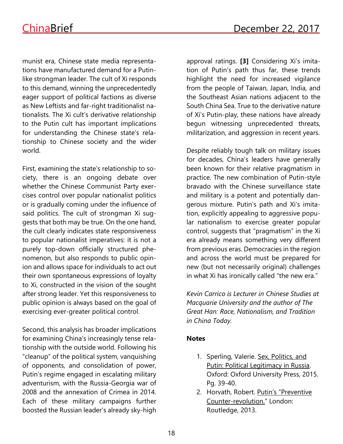munist era, Chinese state media representations have manufactured demand for a Putinlike strongman leader. The cult of Xi responds to this demand, winning the unprecedentedly eager support of political factions as diverse as New Leftists and far-right traditionalist nationalists. The Xi cult's derivative relationship to the Putin cult has important implications for understanding the Chinese state's relationship to Chinese society and the wider world.

First, examining the state's relationship to society, there is an ongoing debate over whether the Chinese Communist Party exercises control over popular nationalist politics or is gradually coming under the influence of said politics. The cult of strongman Xi suggests that both may be true. On the one hand, the cult clearly indicates state responsiveness to popular nationalist imperatives: it is not a purely top-down officially structured phenomenon, but also responds to public opinion and allows space for individuals to act out their own spontaneous expressions of loyalty to Xi, constructed in the vision of the sought after strong leader. Yet this responsiveness to public opinion is always based on the goal of exercising ever-greater political control.

Second, this analysis has broader implications for examining China's increasingly tense relationship with the outside world. Following his "cleanup" of the political system, vanquishing of opponents, and consolidation of power, Putin's regime engaged in escalating military adventurism, with the Russia-Georgia war of 2008 and the annexation of Crimea in 2014. Each of these military campaigns further boosted the Russian leader's already sky-high approval ratings. **[3]** Considering Xi's imitation of Putin's path thus far, these trends highlight the need for increased vigilance from the people of Taiwan, Japan, India, and the Southeast Asian nations adjacent to the South China Sea. True to the derivative nature of Xi's Putin-play, these nations have already begun witnessing unprecedented threats, militarization, and aggression in recent years.

Despite reliably tough talk on military issues for decades, China's leaders have generally been known for their relative pragmatism in practice. The new combination of Putin-style bravado with the Chinese surveillance state and military is a potent and potentially dangerous mixture. Putin's path and Xi's imitation, explicitly appealing to aggressive popular nationalism to exercise greater popular control, suggests that "pragmatism" in the Xi era already means something very different from previous eras. Democracies in the region and across the world must be prepared for new (but not necessarily original) challenges in what Xi has ironically called "the new era."

*Kevin Carrico is Lecturer in Chinese Studies at Macquarie University and the author of The Great Han: Race, Nationalism, and Tradition in China Today.*

# **Notes**

- 1. Sperling, Valerie. Sex, Politics, and Putin: Political Legitimacy in Russia. Oxford: Oxford University Press, 2015. Pg. 39-40.
- 2. Horvath, Robert. Putin's "Preventive Counter-revolution." London: Routledge, 2013.